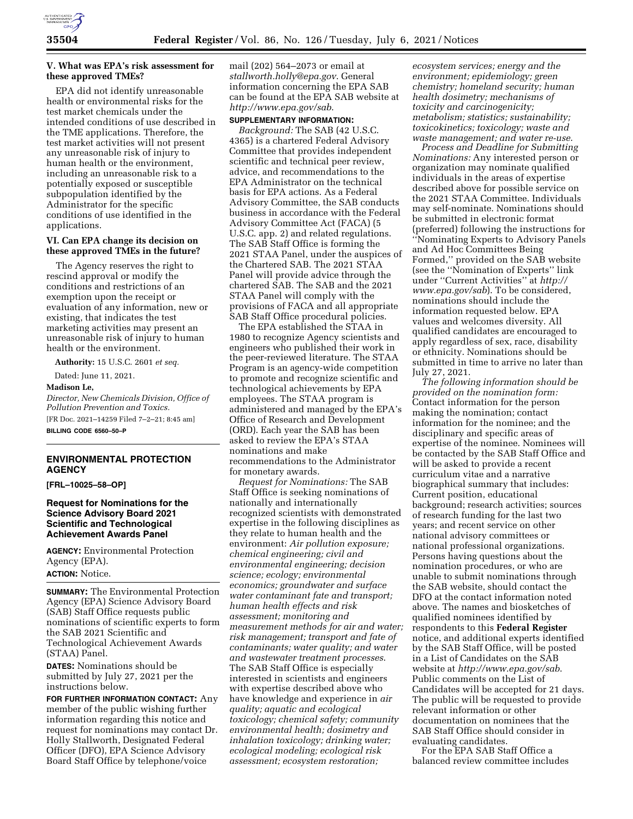

## **V. What was EPA's risk assessment for these approved TMEs?**

EPA did not identify unreasonable health or environmental risks for the test market chemicals under the intended conditions of use described in the TME applications. Therefore, the test market activities will not present any unreasonable risk of injury to human health or the environment, including an unreasonable risk to a potentially exposed or susceptible subpopulation identified by the Administrator for the specific conditions of use identified in the applications.

#### **VI. Can EPA change its decision on these approved TMEs in the future?**

The Agency reserves the right to rescind approval or modify the conditions and restrictions of an exemption upon the receipt or evaluation of any information, new or existing, that indicates the test marketing activities may present an unreasonable risk of injury to human health or the environment.

**Authority:** 15 U.S.C. 2601 *et seq.* 

Dated: June 11, 2021.

**Madison Le,** 

*Director, New Chemicals Division, Office of Pollution Prevention and Toxics.*  [FR Doc. 2021–14259 Filed 7–2–21; 8:45 am] **BILLING CODE 6560–50–P** 

# **ENVIRONMENTAL PROTECTION AGENCY**

**[FRL–10025–58–OP]** 

## **Request for Nominations for the Science Advisory Board 2021 Scientific and Technological Achievement Awards Panel**

**AGENCY:** Environmental Protection Agency (EPA).

**ACTION:** Notice.

**SUMMARY:** The Environmental Protection Agency (EPA) Science Advisory Board (SAB) Staff Office requests public nominations of scientific experts to form the SAB 2021 Scientific and Technological Achievement Awards (STAA) Panel.

**DATES:** Nominations should be submitted by July 27, 2021 per the instructions below.

**FOR FURTHER INFORMATION CONTACT:** Any member of the public wishing further information regarding this notice and request for nominations may contact Dr. Holly Stallworth, Designated Federal Officer (DFO), EPA Science Advisory Board Staff Office by telephone/voice

mail (202) 564–2073 or email at *[stallworth.holly@epa.gov](mailto:stallworth.holly@epa.gov)*. General information concerning the EPA SAB can be found at the EPA SAB website at *<http://www.epa.gov/sab>*.

# **SUPPLEMENTARY INFORMATION:**

*Background:* The SAB (42 U.S.C. 4365) is a chartered Federal Advisory Committee that provides independent scientific and technical peer review, advice, and recommendations to the EPA Administrator on the technical basis for EPA actions. As a Federal Advisory Committee, the SAB conducts business in accordance with the Federal Advisory Committee Act (FACA) (5 U.S.C. app. 2) and related regulations. The SAB Staff Office is forming the 2021 STAA Panel, under the auspices of the Chartered SAB. The 2021 STAA Panel will provide advice through the chartered SAB. The SAB and the 2021 STAA Panel will comply with the provisions of FACA and all appropriate SAB Staff Office procedural policies.

The EPA established the STAA in 1980 to recognize Agency scientists and engineers who published their work in the peer-reviewed literature. The STAA Program is an agency-wide competition to promote and recognize scientific and technological achievements by EPA employees. The STAA program is administered and managed by the EPA's Office of Research and Development (ORD). Each year the SAB has been asked to review the EPA's STAA nominations and make recommendations to the Administrator for monetary awards.

*Request for Nominations:* The SAB Staff Office is seeking nominations of nationally and internationally recognized scientists with demonstrated expertise in the following disciplines as they relate to human health and the environment: *Air pollution exposure; chemical engineering; civil and environmental engineering; decision science; ecology; environmental economics; groundwater and surface water contaminant fate and transport; human health effects and risk assessment; monitoring and measurement methods for air and water; risk management; transport and fate of contaminants; water quality; and water and wastewater treatment processes*. The SAB Staff Office is especially interested in scientists and engineers with expertise described above who have knowledge and experience in *air quality; aquatic and ecological toxicology; chemical safety; community environmental health; dosimetry and inhalation toxicology; drinking water; ecological modeling; ecological risk assessment; ecosystem restoration;* 

*ecosystem services; energy and the environment; epidemiology; green chemistry; homeland security; human health dosimetry; mechanisms of toxicity and carcinogenicity; metabolism; statistics; sustainability; toxicokinetics; toxicology; waste and waste management; and water re-use*.

*Process and Deadline for Submitting Nominations:* Any interested person or organization may nominate qualified individuals in the areas of expertise described above for possible service on the 2021 STAA Committee. Individuals may self-nominate. Nominations should be submitted in electronic format (preferred) following the instructions for ''Nominating Experts to Advisory Panels and Ad Hoc Committees Being Formed,'' provided on the SAB website (see the ''Nomination of Experts'' link under ''Current Activities'' at *[http://](http://www.epa.gov/sab) [www.epa.gov/sab](http://www.epa.gov/sab)*). To be considered, nominations should include the information requested below. EPA values and welcomes diversity. All qualified candidates are encouraged to apply regardless of sex, race, disability or ethnicity. Nominations should be submitted in time to arrive no later than July 27, 2021.

*The following information should be provided on the nomination form:*  Contact information for the person making the nomination; contact information for the nominee; and the disciplinary and specific areas of expertise of the nominee. Nominees will be contacted by the SAB Staff Office and will be asked to provide a recent curriculum vitae and a narrative biographical summary that includes: Current position, educational background; research activities; sources of research funding for the last two years; and recent service on other national advisory committees or national professional organizations. Persons having questions about the nomination procedures, or who are unable to submit nominations through the SAB website, should contact the DFO at the contact information noted above. The names and biosketches of qualified nominees identified by respondents to this **Federal Register**  notice, and additional experts identified by the SAB Staff Office, will be posted in a List of Candidates on the SAB website at *<http://www.epa.gov/sab>*. Public comments on the List of Candidates will be accepted for 21 days. The public will be requested to provide relevant information or other documentation on nominees that the SAB Staff Office should consider in evaluating candidates.

For the EPA SAB Staff Office a balanced review committee includes